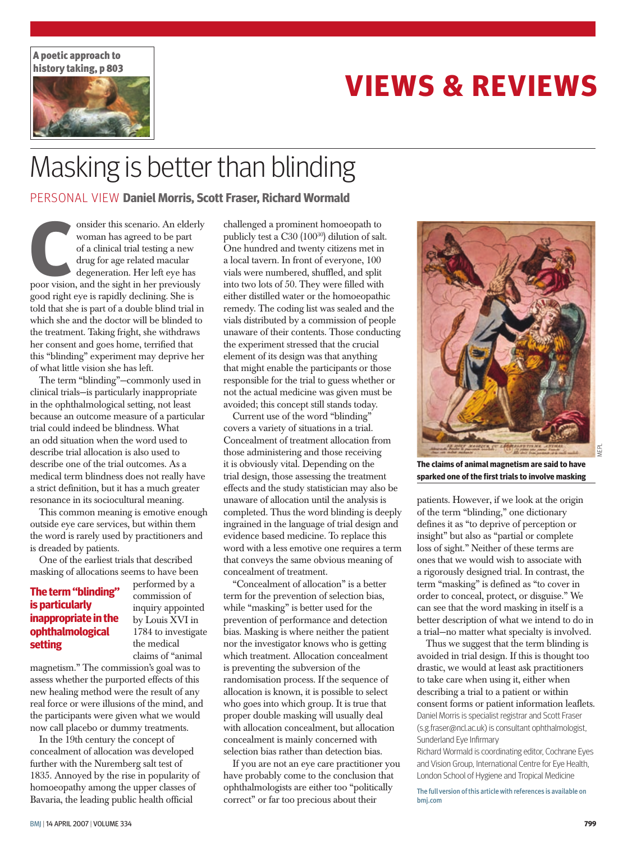A poetic approach to history taking, p 803



## **views & REVIEWS**

## Masking is better than blinding

PERSONAL VIEW **Daniel Morris, Scott Fraser, Richard Wormald**

onsider this scenario. An elderly<br>
woman has agreed to be part<br>
of a clinical trial testing a new<br>
drug for age related macular<br>
degeneration. Her left eye has<br>
poor vision, and the sight in her previously onsider this scenario. An elderly woman has agreed to be part of a clinical trial testing a new drug for age related macular degeneration. Her left eye has good right eye is rapidly declining. She is told that she is part of a double blind trial in which she and the doctor will be blinded to the treatment. Taking fright, she withdraws her consent and goes home, terrified that this "blinding" experiment may deprive her of what little vision she has left.

The term "blinding"—commonly used in clinical trials—is particularly inappropriate in the ophthalmological setting, not least because an outcome measure of a particular trial could indeed be blindness. What an odd situation when the word used to describe trial allocation is also used to describe one of the trial outcomes. As a medical term blindness does not really have a strict definition, but it has a much greater resonance in its sociocultural meaning.

This common meaning is emotive enough outside eye care services, but within them the word is rarely used by practitioners and is dreaded by patients.

One of the earliest trials that described masking of allocations seems to have been

#### **The term "blinding" is particularly inappropriate in the ophthalmological setting**

performed by a commission of inquiry appointed by Louis XVI in 1784 to investigate the medical claims of "animal

magnetism." The commission's goal was to assess whether the purported effects of this new healing method were the result of any real force or were illusions of the mind, and the participants were given what we would now call placebo or dummy treatments.

In the 19th century the concept of concealment of allocation was developed further with the Nuremberg salt test of 1835. Annoyed by the rise in popularity of homoeopathy among the upper classes of Bavaria, the leading public health official

challenged a prominent homoeopath to publicly test a C30 (100<sup>30</sup>) dilution of salt. One hundred and twenty citizens met in a local tavern. In front of everyone, 100 vials were numbered, shuffled, and split into two lots of 50. They were filled with either distilled water or the homoeopathic remedy. The coding list was sealed and the vials distributed by a commission of people unaware of their contents. Those conducting the experiment stressed that the crucial element of its design was that anything that might enable the participants or those responsible for the trial to guess whether or not the actual medicine was given must be avoided; this concept still stands today.

Current use of the word "blinding" covers a variety of situations in a trial. Concealment of treatment allocation from those administering and those receiving it is obviously vital. Depending on the trial design, those assessing the treatment effects and the study statistician may also be unaware of allocation until the analysis is completed. Thus the word blinding is deeply ingrained in the language of trial design and evidence based medicine. To replace this word with a less emotive one requires a term that conveys the same obvious meaning of concealment of treatment.

"Concealment of allocation" is a better term for the prevention of selection bias, while "masking" is better used for the prevention of performance and detection bias. Masking is where neither the patient nor the investigator knows who is getting which treatment. Allocation concealment is preventing the subversion of the randomisation process. If the sequence of allocation is known, it is possible to select who goes into which group. It is true that proper double masking will usually deal with allocation concealment, but allocation concealment is mainly concerned with selection bias rather than detection bias.

If you are not an eye care practitioner you have probably come to the conclusion that ophthalmologists are either too "politically correct" or far too precious about their



MEPL

**The claims of animal magnetism are said to have sparked one of the first trials to involve masking** 

patients. However, if we look at the origin of the term "blinding," one dictionary defines it as "to deprive of perception or insight" but also as "partial or complete loss of sight." Neither of these terms are ones that we would wish to associate with a rigorously designed trial. In contrast, the term "masking" is defined as "to cover in order to conceal, protect, or disguise." We can see that the word masking in itself is a better description of what we intend to do in a trial—no matter what specialty is involved.

Thus we suggest that the term blinding is avoided in trial design. If this is thought too drastic, we would at least ask practitioners to take care when using it, either when describing a trial to a patient or within consent forms or patient information leaflets. Daniel Morris is specialist registrar and Scott Fraser (s.g.fraser@ncl.ac.uk) is consultant ophthalmologist, Sunderland Eye Infirmary

Richard Wormald is coordinating editor, Cochrane Eyes and Vision Group, International Centre for Eye Health, London School of Hygiene and Tropical Medicine

The full version of this article with references is available on bmj.com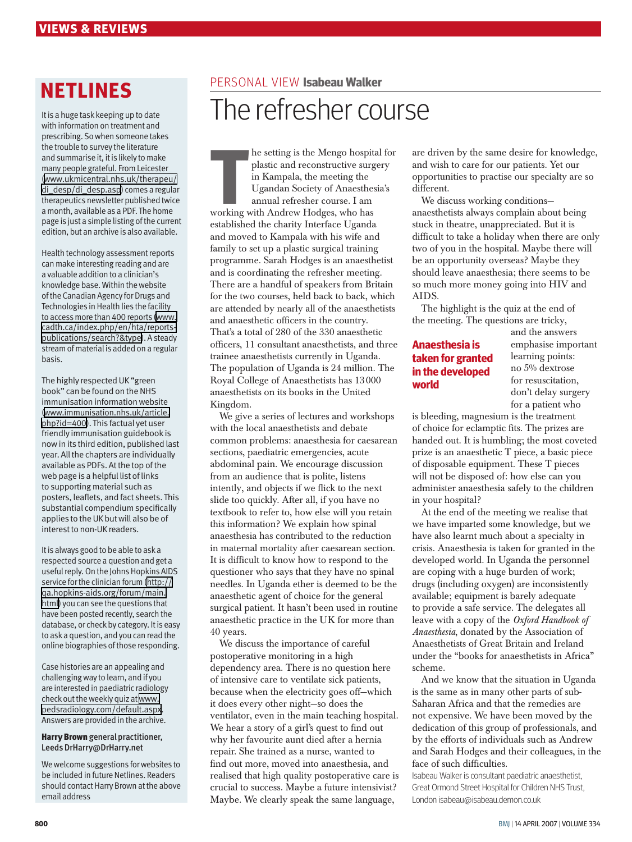### **NETLINES**

It is a huge task keeping up to date with information on treatment and prescribing. So when someone takes the trouble to survey the literature and summarise it, it is likely to make many people grateful. From Leicester ([www.ukmicentral.nhs.uk/therapeu/](http://www.ukmicentral.nhs.uk/therapeu/di_desp/di_desp.asp) [di\\_desp/di\\_desp.asp\)](http://www.ukmicentral.nhs.uk/therapeu/di_desp/di_desp.asp) comes a regular therapeutics newsletter published twice a month, available as a PDF. The home page is just a simple listing of the current edition, but an archive is also available.

Health technology assessment reports can make interesting reading and are a valuable addition to a clinician's knowledge base. Within the website of the Canadian Agency for Drugs and Technologies in Health lies the facility to access more than 400 reports [\(www.](http://www.cadth.ca/index.php/en/hta/reports-publications/search?&type) [cadth.ca/index.php/en/hta/reports](http://www.cadth.ca/index.php/en/hta/reports-publications/search?&type)[publications/search?&type](http://www.cadth.ca/index.php/en/hta/reports-publications/search?&type)). A steady stream of material is added on a regular basis.

The highly respected UK "green book" can be found on the NHS immunisation information website ([www.immunisation.nhs.uk/article.](http://www.immunisation.nhs.uk/article.php?id=400) [php?id=400](http://www.immunisation.nhs.uk/article.php?id=400)). This factual yet user friendly immunisation guidebook is now in its third edition, published last year. All the chapters are individually available as PDFs. At the top of the web page is a helpful list of links to supporting material such as posters, leaflets, and fact sheets. This substantial compendium specifically applies to the UK but will also be of interest to non-UK readers.

It is always good to be able to ask a respected source a question and get a useful reply. On the Johns Hopkins AIDS service for the clinician forum [\(http://](http://qa.hopkins-aids.org/forum/main.html) [qa.hopkins-aids.org/forum/main.](http://qa.hopkins-aids.org/forum/main.html) [html](http://qa.hopkins-aids.org/forum/main.html)) you can see the questions that have been posted recently, search the database, or check by category. It is easy to ask a question, and you can read the online biographies of those responding.

Case histories are an appealing and challenging way to learn, and if you are interested in paediatric radiology check out the weekly quiz at [www.](http://www.pedsradiology.com/default.aspx) [pedsradiology.com/default.aspx](http://www.pedsradiology.com/default.aspx). Answers are provided in the archive.

#### Harry Brown general practitioner, Leeds DrHarry@DrHarry.net

We welcome suggestions for websites to be included in future Netlines. Readers should contact Harry Brown at the above email address

### PERSONAL VIEW **Isabeau Walker** The refresher course

**THE SET IS IS A MET AND THE SET OF THE VEHICLE STATE STARD SUGARDING USING USING MINIMIZER SHOWSING AN ANDISCRED STARD WORKING STARD WORKING WITH A MORE STARD WORKING THE SUPPOSE SUPPOSE THE SUPPOSE SUPPOSE SUPPOSE SUPPOS** he setting is the Mengo hospital for plastic and reconstructive surgery in Kampala, the meeting the Ugandan Society of Anaesthesia's annual refresher course. I am established the charity Interface Uganda and moved to Kampala with his wife and family to set up a plastic surgical training programme. Sarah Hodges is an anaesthetist and is coordinating the refresher meeting. There are a handful of speakers from Britain for the two courses, held back to back, which are attended by nearly all of the anaesthetists and anaesthetic officers in the country. That's a total of 280 of the 330 anaesthetic officers, 11 consultant anaesthetists, and three trainee anaesthetists currently in Uganda. The population of Uganda is 24 million. The Royal College of Anaesthetists has 13000 anaesthetists on its books in the United Kingdom.

We give a series of lectures and workshops with the local anaesthetists and debate common problems: anaesthesia for caesarean sections, paediatric emergencies, acute abdominal pain. We encourage discussion from an audience that is polite, listens intently, and objects if we flick to the next slide too quickly. After all, if you have no textbook to refer to, how else will you retain this information? We explain how spinal anaesthesia has contributed to the reduction in maternal mortality after caesarean section. It is difficult to know how to respond to the questioner who says that they have no spinal needles. In Uganda ether is deemed to be the anaesthetic agent of choice for the general surgical patient. It hasn't been used in routine anaesthetic practice in the UK for more than 40 years.

We discuss the importance of careful postoperative monitoring in a high dependency area. There is no question here of intensive care to ventilate sick patients, because when the electricity goes off—which it does every other night—so does the ventilator, even in the main teaching hospital. We hear a story of a girl's quest to find out why her favourite aunt died after a hernia repair. She trained as a nurse, wanted to find out more, moved into anaesthesia, and realised that high quality postoperative care is crucial to success. Maybe a future intensivist? Maybe. We clearly speak the same language,

are driven by the same desire for knowledge, and wish to care for our patients. Yet our opportunities to practise our specialty are so different.

We discuss working conditions anaesthetists always complain about being stuck in theatre, unappreciated. But it is difficult to take a holiday when there are only two of you in the hospital. Maybe there will be an opportunity overseas? Maybe they should leave anaesthesia; there seems to be so much more money going into HIV and AIDS.

The highlight is the quiz at the end of the meeting. The questions are tricky,

#### **Anaesthesia is taken for granted in the developed world**

and the answers emphasise important learning points: no 5% dextrose for resuscitation, don't delay surgery for a patient who

is bleeding, magnesium is the treatment of choice for eclamptic fits. The prizes are handed out. It is humbling; the most coveted prize is an anaesthetic T piece, a basic piece of disposable equipment. These T pieces will not be disposed of: how else can you administer anaesthesia safely to the children in your hospital?

At the end of the meeting we realise that we have imparted some knowledge, but we have also learnt much about a specialty in crisis. Anaesthesia is taken for granted in the developed world. In Uganda the personnel are coping with a huge burden of work; drugs (including oxygen) are inconsistently available; equipment is barely adequate to provide a safe service. The delegates all leave with a copy of the *Oxford Handbook of Anaesthesia*, donated by the Association of Anaesthetists of Great Britain and Ireland under the "books for anaesthetists in Africa" scheme.

And we know that the situation in Uganda is the same as in many other parts of sub-Saharan Africa and that the remedies are not expensive. We have been moved by the dedication of this group of professionals, and by the efforts of individuals such as Andrew and Sarah Hodges and their colleagues, in the face of such difficulties.

Isabeau Walker is consultant paediatric anaesthetist, Great Ormond Street Hospital for Children NHS Trust, London isabeau@isabeau.demon.co.uk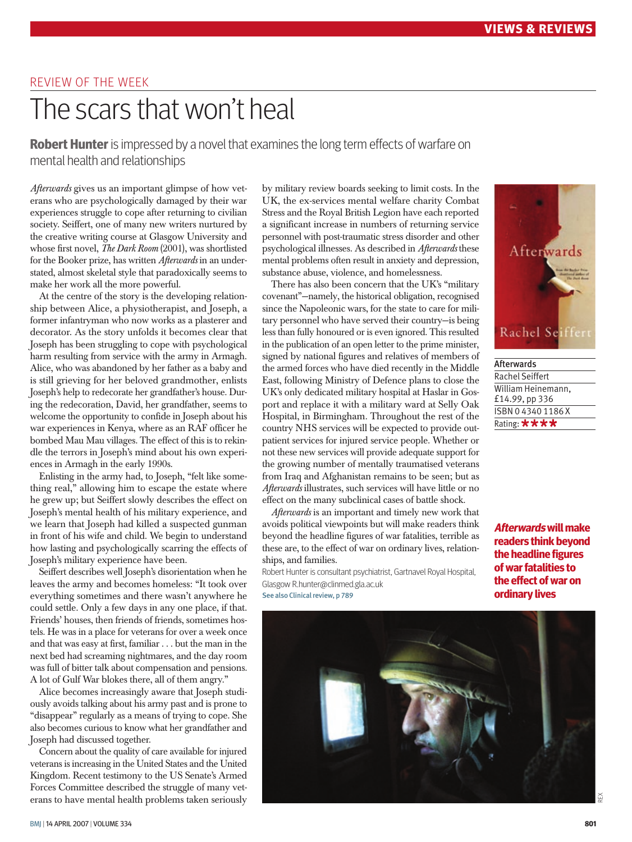#### review of the week

## The scars that won't heal

**Robert Hunter** is impressed by a novel that examines the long term effects of warfare on mental health and relationships

*Afterwards* gives us an important glimpse of how veterans who are psychologically damaged by their war experiences struggle to cope after returning to civilian society. Seiffert, one of many new writers nurtured by the creative writing course at Glasgow University and whose first novel, *The Dark Room* (2001), was shortlisted for the Booker prize, has written *Afterwards* in an understated, almost skeletal style that paradoxically seems to make her work all the more powerful.

At the centre of the story is the developing relationship between Alice, a physiotherapist, and Joseph, a former infantryman who now works as a plasterer and decorator. As the story unfolds it becomes clear that Joseph has been struggling to cope with psychological harm resulting from service with the army in Armagh. Alice, who was abandoned by her father as a baby and is still grieving for her beloved grandmother, enlists Joseph's help to redecorate her grandfather's house. During the redecoration, David, her grandfather, seems to welcome the opportunity to confide in Joseph about his war experiences in Kenya, where as an RAF officer he bombed Mau Mau villages. The effect of this is to rekindle the terrors in Joseph's mind about his own experiences in Armagh in the early 1990s.

Enlisting in the army had, to Joseph, "felt like something real," allowing him to escape the estate where he grew up; but Seiffert slowly describes the effect on Joseph's mental health of his military experience, and we learn that Joseph had killed a suspected gunman in front of his wife and child. We begin to understand how lasting and psychologically scarring the effects of Joseph's military experience have been.

Seiffert describes well Joseph's disorientation when he leaves the army and becomes homeless: "It took over everything sometimes and there wasn't anywhere he could settle. Only a few days in any one place, if that. Friends' houses, then friends of friends, sometimes hostels. He was in a place for veterans for over a week once and that was easy at first, familiar . . . but the man in the next bed had screaming nightmares, and the day room was full of bitter talk about compensation and pensions. A lot of Gulf War blokes there, all of them angry."

Alice becomes increasingly aware that Joseph studiously avoids talking about his army past and is prone to "disappear" regularly as a means of trying to cope. She also becomes curious to know what her grandfather and Joseph had discussed together.

Concern about the quality of care available for injured veterans is increasing in the United States and the United Kingdom. Recent testimony to the US Senate's Armed Forces Committee described the struggle of many veterans to have mental health problems taken seriously by military review boards seeking to limit costs. In the UK, the ex-services mental welfare charity Combat Stress and the Royal British Legion have each reported a significant increase in numbers of returning service personnel with post-traumatic stress disorder and other psychological illnesses. As described in *Afterwards* these mental problems often result in anxiety and depression, substance abuse, violence, and homelessness.

There has also been concern that the UK's "military covenant"—namely, the historical obligation, recognised since the Napoleonic wars, for the state to care for military personnel who have served their country—is being less than fully honoured or is even ignored. This resulted in the publication of an open letter to the prime minister, signed by national figures and relatives of members of the armed forces who have died recently in the Middle East, following Ministry of Defence plans to close the UK's only dedicated military hospital at Haslar in Gosport and replace it with a military ward at Selly Oak Hospital, in Birmingham. Throughout the rest of the country NHS services will be expected to provide outpatient services for injured service people. Whether or not these new services will provide adequate support for the growing number of mentally traumatised veterans from Iraq and Afghanistan remains to be seen; but as *Afterwards* illustrates, such services will have little or no effect on the many subclinical cases of battle shock.

*Afterwards* is an important and timely new work that avoids political viewpoints but will make readers think beyond the headline figures of war fatalities, terrible as these are, to the effect of war on ordinary lives, relationships, and families.

Robert Hunter is consultant psychiatrist, Gartnavel Royal Hospital, Glasgow R.hunter@clinmed.gla.ac.uk

See also Clinical review, p 789



| Afterwards         |
|--------------------|
| Rachel Seiffert    |
| William Heinemann, |
| £14.99, pp 336     |
| ISBN 043401186X    |
| Rating: ****       |
|                    |

**Afterwards will make readers think beyond the headline figures of war fatalities to the effect of war on ordinary lives**

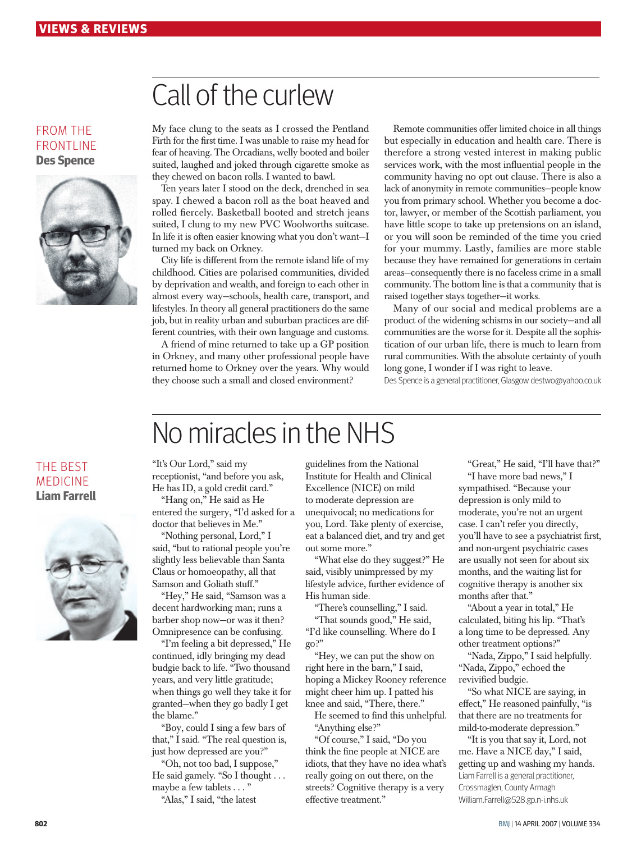### Call of the curlew

### FROM THE **FRONTLINE Des Spence**



My face clung to the seats as I crossed the Pentland Firth for the first time. I was unable to raise my head for fear of heaving. The Orcadians, welly booted and boiler suited, laughed and joked through cigarette smoke as they chewed on bacon rolls. I wanted to bawl.

Ten years later I stood on the deck, drenched in sea spay. I chewed a bacon roll as the boat heaved and rolled fiercely. Basketball booted and stretch jeans suited, I clung to my new PVC Woolworths suitcase. In life it is often easier knowing what you don't want—I turned my back on Orkney.

City life is different from the remote island life of my childhood. Cities are polarised communities, divided by deprivation and wealth, and foreign to each other in almost every way—schools, health care, transport, and lifestyles. In theory all general practitioners do the same job, but in reality urban and suburban practices are different countries, with their own language and customs.

A friend of mine returned to take up a GP position in Orkney, and many other professional people have returned home to Orkney over the years. Why would they choose such a small and closed environment?

Remote communities offer limited choice in all things but especially in education and health care. There is therefore a strong vested interest in making public services work, with the most influential people in the community having no opt out clause. There is also a lack of anonymity in remote communities—people know you from primary school. Whether you become a doctor, lawyer, or member of the Scottish parliament, you have little scope to take up pretensions on an island, or you will soon be reminded of the time you cried for your mummy. Lastly, families are more stable because they have remained for generations in certain areas—consequently there is no faceless crime in a small community. The bottom line is that a community that is raised together stays together—it works.

Many of our social and medical problems are a product of the widening schisms in our society—and all communities are the worse for it. Despite all the sophistication of our urban life, there is much to learn from rural communities. With the absolute certainty of youth long gone, I wonder if I was right to leave.

Des Spence is a general practitioner, Glasgow destwo@yahoo.co.uk

### No miracles in the NHS

### THE BEST MEDICINE **Liam Farrell**



"It's Our Lord," said my receptionist, "and before you ask, He has ID, a gold credit card."

"Hang on," He said as He entered the surgery, "I'd asked for a doctor that believes in Me."

"Nothing personal, Lord," I said, "but to rational people you're slightly less believable than Santa Claus or homoeopathy, all that Samson and Goliath stuff."

"Hey," He said, "Samson was a decent hardworking man; runs a barber shop now—or was it then? Omnipresence can be confusing.

"I'm feeling a bit depressed," He continued, idly bringing my dead budgie back to life. "Two thousand years, and very little gratitude; when things go well they take it for granted—when they go badly I get the blame."

"Boy, could I sing a few bars of that," I said. "The real question is, just how depressed are you?"

"Oh, not too bad, I suppose," He said gamely. "So I thought . . . maybe a few tablets . . . "

"Alas," I said, "the latest

guidelines from the National Institute for Health and Clinical Excellence (NICE) on mild to moderate depression are unequivocal; no medications for you, Lord. Take plenty of exercise, eat a balanced diet, and try and get out some more."

"What else do they suggest?" He said, visibly unimpressed by my lifestyle advice, further evidence of His human side.

"There's counselling," I said.

"That sounds good," He said, "I'd like counselling. Where do I go?"

"Hey, we can put the show on right here in the barn," I said, hoping a Mickey Rooney reference might cheer him up. I patted his knee and said, "There, there."

He seemed to find this unhelpful. "Anything else?"

"Of course," I said, "Do you think the fine people at NICE are idiots, that they have no idea what's really going on out there, on the streets? Cognitive therapy is a very effective treatment."

"Great," He said, "I'll have that?"

"I have more bad news," I sympathised. "Because your depression is only mild to moderate, you're not an urgent case. I can't refer you directly, you'll have to see a psychiatrist first, and non-urgent psychiatric cases are usually not seen for about six months, and the waiting list for cognitive therapy is another six months after that."

"About a year in total," He calculated, biting his lip. "That's a long time to be depressed. Any other treatment options?"

"Nada, Zippo," I said helpfully. "Nada, Zippo," echoed the revivified budgie.

"So what NICE are saying, in effect," He reasoned painfully, "is that there are no treatments for mild-to-moderate depression."

"It is you that say it, Lord, not me. Have a NICE day," I said, getting up and washing my hands. Liam Farrell is a general practitioner, Crossmaglen, County Armagh William.Farrell@528.gp.n-i.nhs.uk